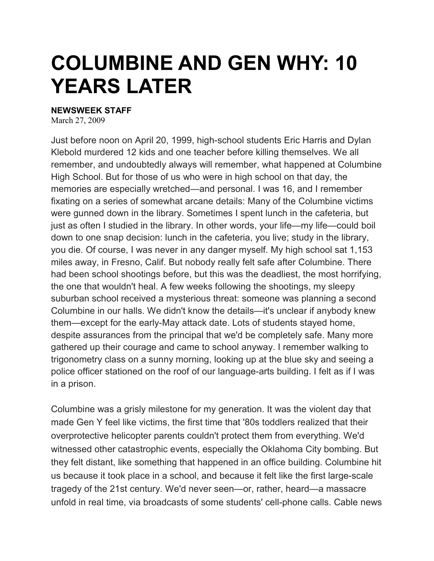## **COLUMBINE AND GEN WHY: 10 YEARS LATER**

## **NEWSWEEK STAFF**

March 27, 2009

Just before noon on April 20, 1999, high-school students Eric Harris and Dylan Klebold murdered 12 kids and one teacher before killing themselves. We all remember, and undoubtedly always will remember, what happened at Columbine High School. But for those of us who were in high school on that day, the memories are especially wretched—and personal. I was 16, and I remember fixating on a series of somewhat arcane details: Many of the Columbine victims were gunned down in the library. Sometimes I spent lunch in the cafeteria, but just as often I studied in the library. In other words, your life—my life—could boil down to one snap decision: lunch in the cafeteria, you live; study in the library, you die. Of course, I was never in any danger myself. My high school sat 1,153 miles away, in Fresno, Calif. But nobody really felt safe after Columbine. There had been school shootings before, but this was the deadliest, the most horrifying, the one that wouldn't heal. A few weeks following the shootings, my sleepy suburban school received a mysterious threat: someone was planning a second Columbine in our halls. We didn't know the details—it's unclear if anybody knew them—except for the early-May attack date. Lots of students stayed home, despite assurances from the principal that we'd be completely safe. Many more gathered up their courage and came to school anyway. I remember walking to trigonometry class on a sunny morning, looking up at the blue sky and seeing a police officer stationed on the roof of our language-arts building. I felt as if I was in a prison.

Columbine was a grisly milestone for my generation. It was the violent day that made Gen Y feel like victims, the first time that '80s toddlers realized that their overprotective helicopter parents couldn't protect them from everything. We'd witnessed other catastrophic events, especially the Oklahoma City bombing. But they felt distant, like something that happened in an office building. Columbine hit us because it took place in a school, and because it felt like the first large-scale tragedy of the 21st century. We'd never seen—or, rather, heard—a massacre unfold in real time, via broadcasts of some students' cell-phone calls. Cable news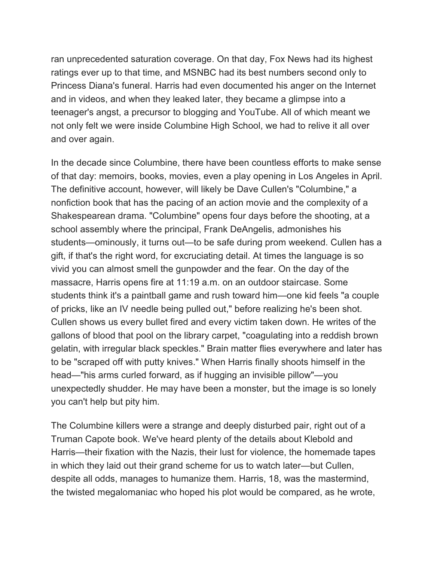ran unprecedented saturation coverage. On that day, Fox News had its highest ratings ever up to that time, and MSNBC had its best numbers second only to Princess Diana's funeral. Harris had even documented his anger on the Internet and in videos, and when they leaked later, they became a glimpse into a teenager's angst, a precursor to blogging and YouTube. All of which meant we not only felt we were inside Columbine High School, we had to relive it all over and over again.

In the decade since Columbine, there have been countless efforts to make sense of that day: memoirs, books, movies, even a play opening in Los Angeles in April. The definitive account, however, will likely be Dave Cullen's "Columbine," a nonfiction book that has the pacing of an action movie and the complexity of a Shakespearean drama. "Columbine" opens four days before the shooting, at a school assembly where the principal, Frank DeAngelis, admonishes his students—ominously, it turns out—to be safe during prom weekend. Cullen has a gift, if that's the right word, for excruciating detail. At times the language is so vivid you can almost smell the gunpowder and the fear. On the day of the massacre, Harris opens fire at 11:19 a.m. on an outdoor staircase. Some students think it's a paintball game and rush toward him—one kid feels "a couple of pricks, like an IV needle being pulled out," before realizing he's been shot. Cullen shows us every bullet fired and every victim taken down. He writes of the gallons of blood that pool on the library carpet, "coagulating into a reddish brown gelatin, with irregular black speckles." Brain matter flies everywhere and later has to be "scraped off with putty knives." When Harris finally shoots himself in the head—"his arms curled forward, as if hugging an invisible pillow"—you unexpectedly shudder. He may have been a monster, but the image is so lonely you can't help but pity him.

The Columbine killers were a strange and deeply disturbed pair, right out of a Truman Capote book. We've heard plenty of the details about Klebold and Harris—their fixation with the Nazis, their lust for violence, the homemade tapes in which they laid out their grand scheme for us to watch later—but Cullen, despite all odds, manages to humanize them. Harris, 18, was the mastermind, the twisted megalomaniac who hoped his plot would be compared, as he wrote,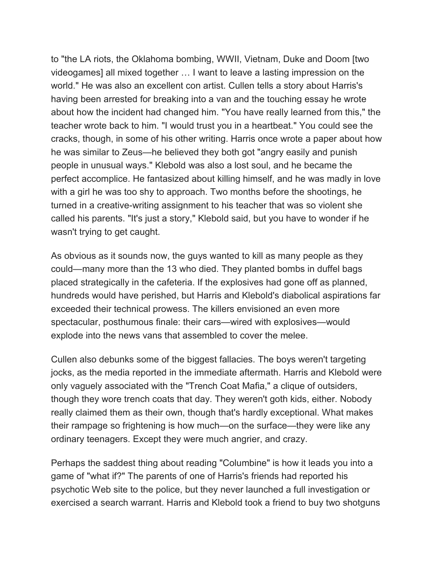to "the LA riots, the Oklahoma bombing, WWII, Vietnam, Duke and Doom [two videogames] all mixed together … I want to leave a lasting impression on the world." He was also an excellent con artist. Cullen tells a story about Harris's having been arrested for breaking into a van and the touching essay he wrote about how the incident had changed him. "You have really learned from this," the teacher wrote back to him. "I would trust you in a heartbeat." You could see the cracks, though, in some of his other writing. Harris once wrote a paper about how he was similar to Zeus—he believed they both got "angry easily and punish people in unusual ways." Klebold was also a lost soul, and he became the perfect accomplice. He fantasized about killing himself, and he was madly in love with a girl he was too shy to approach. Two months before the shootings, he turned in a creative-writing assignment to his teacher that was so violent she called his parents. "It's just a story," Klebold said, but you have to wonder if he wasn't trying to get caught.

As obvious as it sounds now, the guys wanted to kill as many people as they could—many more than the 13 who died. They planted bombs in duffel bags placed strategically in the cafeteria. If the explosives had gone off as planned, hundreds would have perished, but Harris and Klebold's diabolical aspirations far exceeded their technical prowess. The killers envisioned an even more spectacular, posthumous finale: their cars—wired with explosives—would explode into the news vans that assembled to cover the melee.

Cullen also debunks some of the biggest fallacies. The boys weren't targeting jocks, as the media reported in the immediate aftermath. Harris and Klebold were only vaguely associated with the "Trench Coat Mafia," a clique of outsiders, though they wore trench coats that day. They weren't goth kids, either. Nobody really claimed them as their own, though that's hardly exceptional. What makes their rampage so frightening is how much—on the surface—they were like any ordinary teenagers. Except they were much angrier, and crazy.

Perhaps the saddest thing about reading "Columbine" is how it leads you into a game of "what if?" The parents of one of Harris's friends had reported his psychotic Web site to the police, but they never launched a full investigation or exercised a search warrant. Harris and Klebold took a friend to buy two shotguns